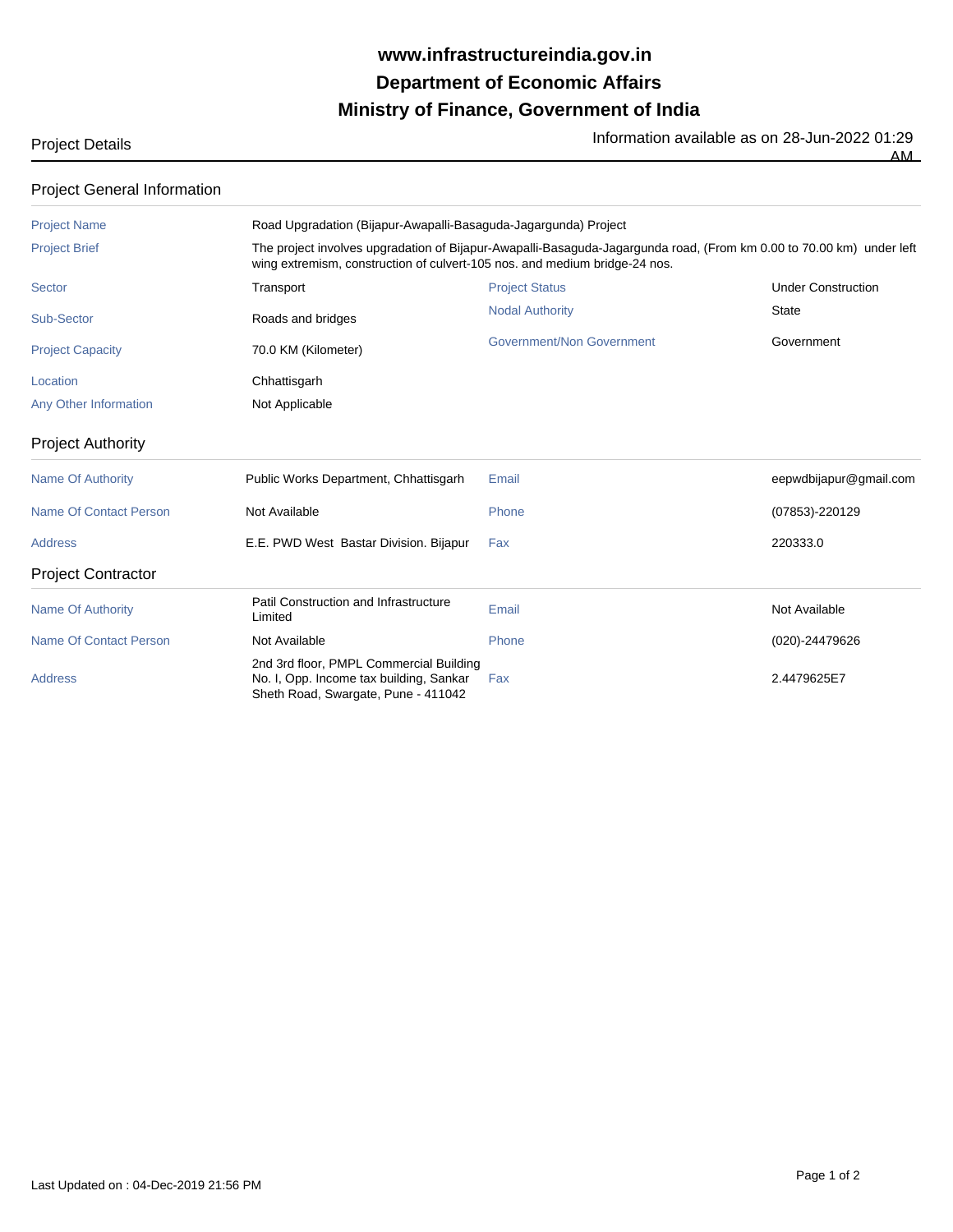## **Ministry of Finance, Government of India Department of Economic Affairs www.infrastructureindia.gov.in**

Project Details **Information available as on 28-Jun-2022 01:29** Information available as on 28-Jun-2022 01:29 AM

| <b>Project General Information</b> |                                                                                                                                                                                                    |                           |                           |  |
|------------------------------------|----------------------------------------------------------------------------------------------------------------------------------------------------------------------------------------------------|---------------------------|---------------------------|--|
| <b>Project Name</b>                | Road Upgradation (Bijapur-Awapalli-Basaguda-Jagargunda) Project                                                                                                                                    |                           |                           |  |
| <b>Project Brief</b>               | The project involves upgradation of Bijapur-Awapalli-Basaguda-Jagargunda road, (From km 0.00 to 70.00 km) under left<br>wing extremism, construction of culvert-105 nos. and medium bridge-24 nos. |                           |                           |  |
| <b>Sector</b>                      | Transport                                                                                                                                                                                          | <b>Project Status</b>     | <b>Under Construction</b> |  |
| Sub-Sector                         | Roads and bridges                                                                                                                                                                                  | <b>Nodal Authority</b>    | <b>State</b>              |  |
| <b>Project Capacity</b>            | 70.0 KM (Kilometer)                                                                                                                                                                                | Government/Non Government | Government                |  |
| Location                           | Chhattisgarh                                                                                                                                                                                       |                           |                           |  |
| Any Other Information              | Not Applicable                                                                                                                                                                                     |                           |                           |  |
| <b>Project Authority</b>           |                                                                                                                                                                                                    |                           |                           |  |
| <b>Name Of Authority</b>           | Public Works Department, Chhattisgarh                                                                                                                                                              | Email                     | eepwdbijapur@gmail.com    |  |
| <b>Name Of Contact Person</b>      | Not Available                                                                                                                                                                                      | Phone                     | (07853)-220129            |  |
| <b>Address</b>                     | E.E. PWD West Bastar Division. Bijapur                                                                                                                                                             | Fax                       | 220333.0                  |  |
| <b>Project Contractor</b>          |                                                                                                                                                                                                    |                           |                           |  |
| <b>Name Of Authority</b>           | Patil Construction and Infrastructure<br>Limited                                                                                                                                                   | Email                     | Not Available             |  |
| Name Of Contact Person             | Not Available                                                                                                                                                                                      | Phone                     | (020)-24479626            |  |
| <b>Address</b>                     | 2nd 3rd floor, PMPL Commercial Building<br>No. I, Opp. Income tax building, Sankar<br>Sheth Road, Swargate, Pune - 411042                                                                          | Fax                       | 2.4479625E7               |  |